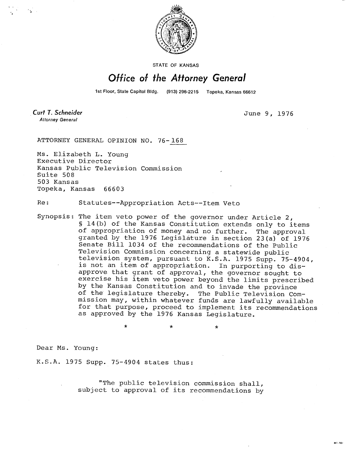

STATE OF KANSAS

## Office of the Attorney General

1st Floor, State Capitol Bldg. (913) 296-2215 Topeka, Kansas 66612

**Curt T. Schneider Attorney General** 

June 9, 1976

Mt. toj

ATTORNEY GENERAL OPINION NO. 76-168

Ms. Elizabeth L. Young Executive Director Kansas Public Television Commission Suite 508 503 Kansas Topeka, Kansas 66603

Re: Statutes--Appropriation Acts--Item Veto

Synopsis: The item veto power of the governor under Article 2, § 14(b) of the Kansas Constitution extends only to items of appropriation of money and no further. The approval granted by the 1976 Legislature in section 23(a) of 1976 Senate Bill 1034 of the recommendations of the Public Television Commission concerning a statewide public television system, pursuant to K.S.A. 1975 Supp. 75-4904, is not an item of appropriation. In purporting to disapprove that grant of approval, the governor sought to exercise his item veto power beyond the limits prescribed by the Kansas Constitution and to invade the province of the legislature thereby. The Public Television Commission may, within whatever funds are lawfully available for that purpose, proceed to implement its recommendations as approved by the 1976 Kansas Legislature.

Dear Ms. Young:

K.S.A. 1975 Supp. 75-4904 states thus:

"The public television commission shall, subject to approval of its recommendations by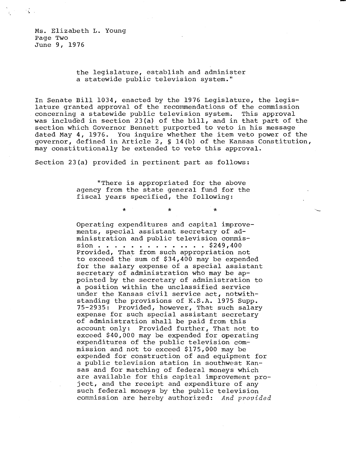Ms. Elizabeth L. Young Page Two June 9, 1976

 $\mathcal{F} = \{ \mathcal{F} \}$ 

## the legislature, establish and administer a statewide public television system."

In Senate Bill 1034, enacted by the 1976 Legislature, the legislature granted approval of the recommendations of the commission concerning a statewide public television system. This approval was included in section 23(a) of the bill, and in that part of the section which Governor Bennett purported to veto in his message dated May 4, 1976. You inquire whether the item veto power of the governor, defined in Article 2, § 14(b) of the Kansas Constitution, may constitutionally be extended to veto this approval.

Section 23(a) provided in pertinent part as follows:

 $\ddot{\textbf{r}}$ 

"There is appropriated for the above agency from the state general fund for the fiscal years specified, the following:

 $\star$ 

Operating expenditures and capital improvements, special assistant secretary of administration and public television commission . . . . . . . . . . . . . \$249,400 Provided, That from such appropriation not to exceed the sum of \$34,400 may be expended for the salary expense of a special assistant secretary of administration who may be appointed by the secretary of administration to a position within the unclassified service under the Kansas civil service act, notwithstanding the provisions of K.S.A. 1975 Supp. 75-2935: Provided, however, That such salary expense for such special assistant secretary of administration shall be paid from this account only: Provided further, That not to exceed \$40,000 may be expended for operating expenditures of the public television commission and not to exceed \$175,000 may be expended for construction of and equipment for a public television station in southwest Kansas and for matching of federal moneys which are available for this capital improvement project, and the receipt and expenditure of any such federal moneys by the public television commission are hereby authorized: And provided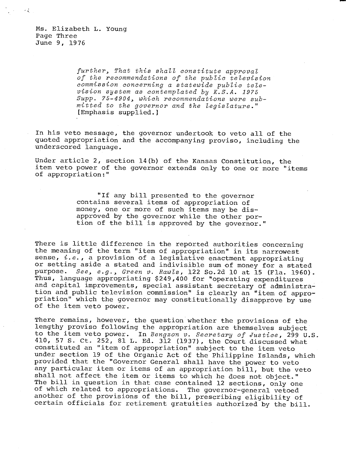Ms. Elizabeth L. Young Page Three June 9, 1976

不变

further, That this shall constitute approval of the recommendations of the public television commission concerning a statewide public television system as contemplated by K.S.A. 1975 Supp. 75-4904, which recommendations were submitted to the governor and the legislature." [Emphasis supplied.]

In his veto message, the governor undertook to veto all of the quoted appropriation and the accompanying proviso, including the underscored language.

Under article 2, section 14(b) of the Kansas Constitution, the item veto power of the governor extends only to one or more "items of appropriation:"

> "If any bill presented to the governor contains several items of appropriation of money, one or more of such items may be disapproved by the governor while the other portion of the bill is approved by the governor."

There is little difference in the reported authorities concerning the meaning of the term "item of appropriation" in its narrowest sense, *i.e.*, a provision of a legislative enactment appropriating or setting aside a stated and indivisible sum of money for a stated purpose. See, e.g., Green v. Rawls, 122 So.2d 10 at 15 (Fla. 1960). Thus, language appropriating \$249,400 for "operating expenditures and capital improvements, special assistant secretary of administration and public television commission" is clearly an "item of appropriation" which the governor may constitutionally disapprove by use of the item veto power.

There remains, however, the question whether the provisions of the lengthy proviso following the appropriation are themselves subject to the item veto power. In Bengzon v. Secretary of Justice, 299 U.S. 410, 57 S. Ct. 252, 81 L. Ed. 312 (1937), the Court discussed what constituted an "item of appropriation" subject to the item veto under section 19 of the Organic Act of the Philippine Islands, which provided that the "Governor General shall have the power to veto any particular item or items of an appropriation bill, but the veto shall not affect the item or items to which he does not object." The bill in question in that case contained 12 sections, only one of which related to appropriations. The governor-general vetoed another of the provisions of the bill, prescribing eligibility of certain officials for retirement gratuities authorized by the bill.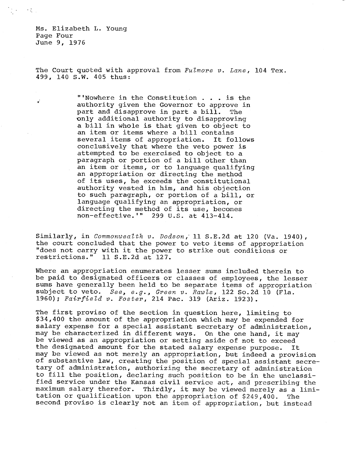Ms. Elizabeth L. Young Page Four June 9, 1976

 $\mathcal{L}(\mathcal{A})$  and  $\mathcal{L}(\mathcal{A})$ 

The Court quoted with approval from  $F_{u}$ lmore v. Lane, 104 Tex. 499, 140 S.W. 405 thus:

> "'Nowhere in the Constitution . . . is the authority given the Governor to approve in part and disapprove in part a bill. The only additional authority to disapproving a bill in whole is that given to object to an item or items where a bill contains several items of appropriation. It follows conclusively that where the veto power is attempted to be exercised to object to a paragraph or portion of a bill other than an item or items, or to language qualifying an appropriation or directing the method of its uses, he exceeds the constitutional authority vested in him, and his objection to such paragraph, or portion of a bill, or language qualifying an appropriation, or directing the method of its use, becomes non-effective.'" 299 U.S. at 413-414.

Similarly, in Commonwealth v. Dodson,' 11 S.E.2d at 120 (Va. 1940), the court concluded that the power to veto items of appropriation "does not carry with it the power to strike out conditions or restrictions." 11 S.E.2d at 127.

Where an appropriation enumerates lesser sums included therein to be paid to designated officers or classes of employees, the lesser sums have generally been held to be separate items of appropriation subject to veto. See, e.g., Green v. Rawls, 122 So.2d 10 (Fla. 1960); Fairfield v. Foster, 214 Pac. 319 (Ariz. 1923).

The first proviso of the section in question here, limiting to \$34,400 the amount of the appropriation which may be expended for salary expense for a special assistant secretary of administration, may be characterized in different ways. On the one hand, it may be viewed as an appropriation or setting aside of not to exceed the designated amount for the stated salary expense purpose. It may be viewed as not merely an appropriation, but indeed a provision of substantive law, creating the position of special assistant secretary of administration, authorizing the secretary of administration to fill the position, declaring such position to be in the unclassified service under the Kansas civil service act, and prescribing the maximum salary therefor. Thirdly, it may be viewed merely as a limitation or qualification upon the appropriation of \$249,400. The second proviso is clearly not an item of appropriation, but instead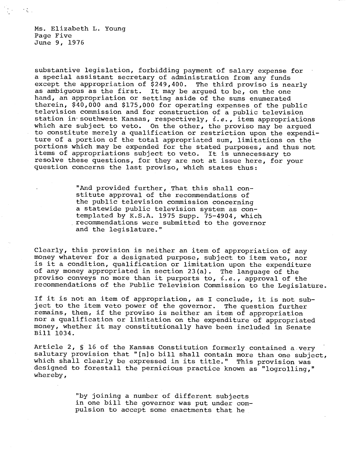Ms. Elizabeth L. Young Page Five June 9, 1976

 $\mathcal{F}(\mathcal{L})$  .

substantive legislation, forbidding payment of salary expense for a special assistant secretary of administration from any funds except the appropriation of \$249,400. The third proviso is nearly as ambiguous as the first. It may be argued to be, on the one hand, an appropriation or setting aside of the sums enumerated therein, \$40,000 and \$175,000 for operating expenses of the public television commission and for construction of a public television station in southwest Kansas, respectively,  $i.e.,$  item appropriations which are subject to veto. On the other, the proviso may be argued to constitute merely a qualification or restriction upon the expenditure of a portion of the total appropriated sum, limitations on the portions which may be expended for the stated purposes, and thus not items of appropriations subject to veto. It is unnecessary to resolve these questions, for they are not at issue here, for your question concerns the last proviso, which states thus:

> "And provided further, That this shall constitute approval of the recommendations of the public television commission concerning a statewide public television system as contemplated by K.S.A. 1975 Supp. 75-4904, which .recommendations were submitted to the governor and the legislature."

Clearly, this provision is neither an item of appropriation of any money whatever for a designated purpose, subject to item veto, nor is it a condition, qualification or limitation upon the expenditure of any money appropriated in section 23(a). The language of the proviso conveys no more than it purports to,  $i.e.,$  approval of the recommendations of the Public Television Commission to the Legislature.

If it is not an item of appropriation, as I conclude, it is not subject to the item veto power of the governor. The question further remains, then, if the proviso is neither an item of appropriation nor a qualification or limitation on the expenditure of appropriated money, whether it may constitutionally have been included in Senate Bill 1034.

Article 2, § 16 of the Kansas Constitution formerly contained a very salutary provision that "[n]o bill shall contain more than one subject, which shall clearly be expressed in its title." This provision was designed to forestall the pernicious practice known as "logrolling," whereby,

> "by joining a number of different subjects in one bill the governor was put under compulsion to accept some enactments that he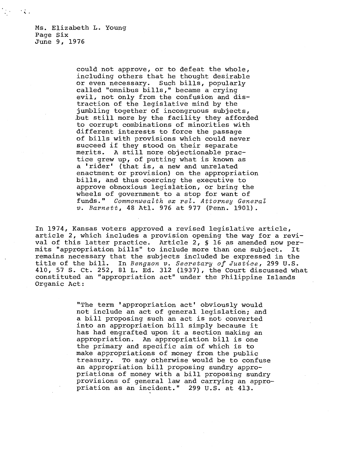Ms. Elizabeth L. Young Page Six June 9, 1976

 $\mathcal{A}$  .

could not approve, or to defeat the whole, including others that he thought desirable or even necessary. Such bills, popularly called "omnibus bills," became a crying evil, not only from the confusion and distraction of the legislative mind by the jumbling together of incongruous subjects, but still more by the facility they afforded to corrupt combinations of minorities with different interests to force the passage of bills with provisions which could never succeed if they stood on their separate merits. A still more objectionable practice grew up, of putting what is known as a 'rider' (that is, a new and unrelated enactment or provision) on the appropriation bills, and thus coercing the executive to approve obnoxious legislation, or bring the wheels of government to a stop for want of funds." Commonwealth ex rel. Attorney General v. Barnett, 48 Atl. 976 at 977 (Penn. 1901).

In 1974, Kansas voters approved a revised legislative article, article 2, which includes a provision opening the way for a revival of this latter practice. Article 2, § 16 as amended now permits "appropriation bills" to include more than one subject. It remains necessary that the subjects included be expressed in the title of the bill. In Bengzon v. Secretary of Justice, 299 U.S. 410, 57 S. Ct. 252, 81 L. Ed. 312 (1937), the Court discussed what constituted an "appropriation act" under the Philippine Islands Organic Act:

> "The term 'appropriation act' obviously would not include an act of general legislation; and a bill proposing such an act is not converted into an appropriation bill simply because it has had engrafted upon it a section making an appropriation. An appropriation bill is one the primary and specific aim of which is to make appropriations of money from the public treasury. To say otherwise would be to confuse an appropriation bill proposing sundry appropriations of money with a bill proposing sundry provisions of general law and carrying an appropriation as an incident." 299 U.S. at 413.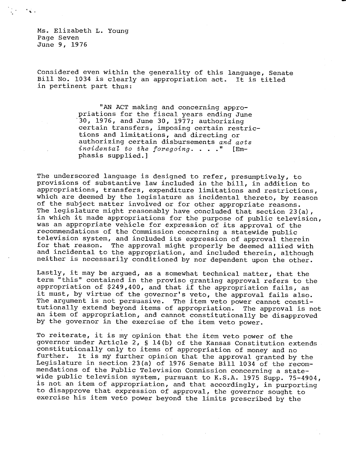Ms. Elizabeth L. Young Page Seven June 9, 1976

Considered even within the generality of this language, Senate Bill No. 1034 is clearly an appropriation act. It is titled in pertinent part thus:

> "AN ACT making and concerning appropriations for the fiscal years ending June '30, 1976, and June 30, 1977; authorizing certain transfers, imposing certain restrictions and limitations, and directing or authorizing certain disbursements and acts incidental to the foregoing.  $\ldots$  ." [Emphasis supplied.]

The underscored language is designed to refer, presumptively, to provisions of substantive law included in the bill, in addition to appropriations, transfers, expenditure limitations and restrictions, which are deemed by the legislature as incidental thereto, by reason of the subject matter involved or for other appropriate reasons. The legislature might reasonably have concluded that section 23(a), in which it made appropriations for the purpose of public television, was an appropriate vehicle for expression of its approval of the recommendations of the Commission concerning a statewide public television system, and included its expression of approval therein for that reason. The approval might properly be deemed allied with and incidental to the appropriation, and included therein, although neither is necessarily conditioned by nor dependent upon the other.

Lastly, it may be argued, as a somewhat technical matter, that the term "this" contained in the proviso granting approval refers to the appropriation of \$249,400, and that if the appropriation fails, as it must, by virtue of the governor's veto, the approval fails also. The argument is not persuasive. The item veto power cannot constitutionally extend beyond items of appropriation. The approval is not an item of appropriation, and cannot constitutionally be disapproved by the governor in the exercise of the item veto power.

To reiterate, it is my opinion that the item veto power of the governor under Article 2, § 14(b) of the Kansas Constitution extends constitutionally only to items of appropriation of money and no<br>further. It is my further opinion that the approval granted by It is my further opinion that the approval granted by the Legislature in section 23(a) of 1976 Senate Bill 1034 of the recommendations of the Public Television Commission concerning a statewide public television system, pursuant to K.S.A. 1975 Supp. 75-4904, is not an item of appropriation, and that accordingly, in purporting to disapprove that expression of approval, the governor sought to exercise his item veto power beyond the limits prescribed by the